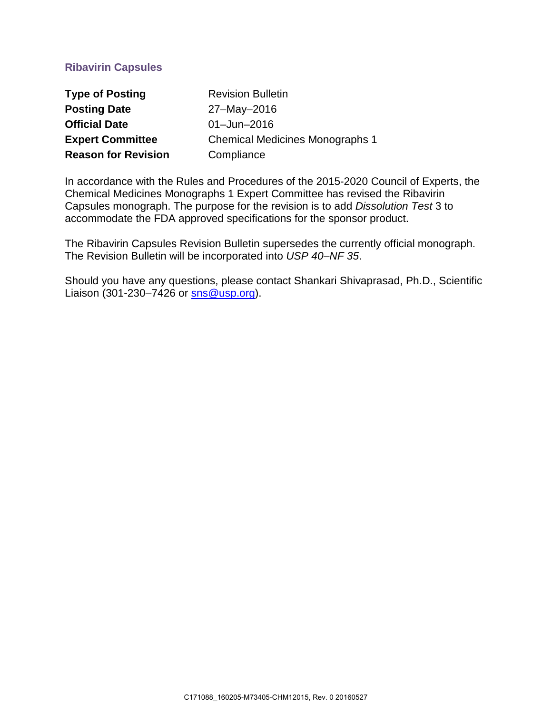# **Ribavirin Capsules**

| <b>Type of Posting</b>     | <b>Revision Bulletin</b>               |
|----------------------------|----------------------------------------|
| <b>Posting Date</b>        | 27-May-2016                            |
| <b>Official Date</b>       | $01 -$ Jun $-2016$                     |
| <b>Expert Committee</b>    | <b>Chemical Medicines Monographs 1</b> |
| <b>Reason for Revision</b> | Compliance                             |

In accordance with the Rules and Procedures of the 2015-2020 Council of Experts, the Chemical Medicines Monographs 1 Expert Committee has revised the Ribavirin Capsules monograph. The purpose for the revision is to add *Dissolution Test* 3 to accommodate the FDA approved specifications for the sponsor product.

The Ribavirin Capsules Revision Bulletin supersedes the currently official monograph. The Revision Bulletin will be incorporated into *USP 40–NF 35*.

Should you have any questions, please contact Shankari Shivaprasad, Ph.D., Scientific Liaison (301-230–7426 or [sns@usp.org\)](mailto:sns@usp.org).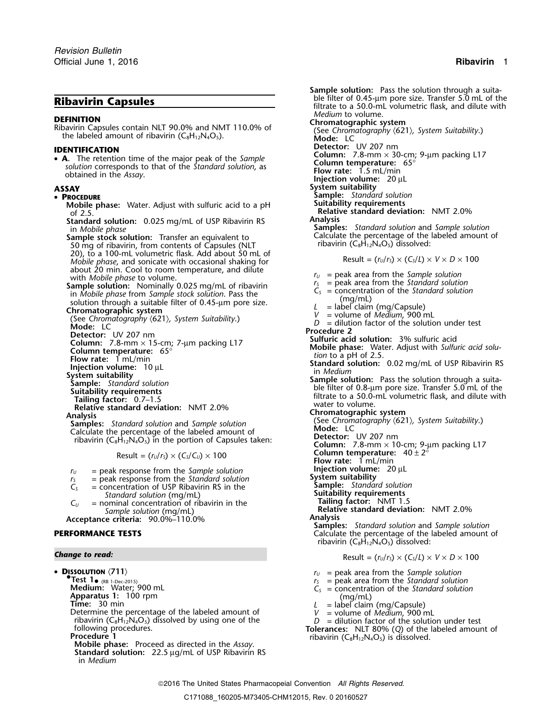• **A.** The retention time of the major peak of the *Sample*<br>solution corresponds to that of the *Standard solution*, as  $\begin{array}{ll}\n\text{Coulum:} & \text{Coulum:} \\
\text{Solution} & \text{Coulum:} & \text{Coulum:} \\
\text{Solution} & \text{Flow rate:} & 1.5 \text{ mL/min} \\
\text{Distance in the } \text{Assay.} \\
\end{array}$ 

### •

- **Mobile phase:** Water. Adjust with sulfuric acid to a pH
- **Standard solution:** 0.025 mg/mL of USP Ribavirin RS
- **Sample stock solution:** Transfer an equivalent to **Calculate the percentage of the labeled amount of Transfer an equivalent to <b>Calculate amount of Transfer and Transfer an** equivalent of Transmess Capsules (NIT ribavirin 50 mg of ribavirin, from contents of Capsules (NLT 20), to a 100-mL volumetric flask. Add about 50 mL of *Mobile phase*, and sonicate with occasional shaking for  $M$  Result =  $(r<sub>U</sub>/r<sub>S</sub>) \times (C<sub>S</sub>/L) \times V \times D \times 100$ about 20 min. Cool to room temperature, and dilute  $r_U =$  peak area from the *Sample solution* with *Mobile phase* to volume.<br> **Sample solution:** Nominally 0.025 mg/ml of ribayirin  $r_S =$  peak area from the *Standard soluti*
- 
- 
- 
- 
- 
- Suitability **Suitable Solution**<br>Calculate the percentage of the labeled amount of **Suitable Solution**<br>ribavirin (C<sub>8</sub>H<sub>12</sub>N<sub>4</sub>O<sub>5</sub>) in the portion of Capsules taken:

$$
Result = (r_U/r_S) \times (C_S/C_U) \times 100
$$

- 
- 
- $=$  concentration of USP Ribavirin RS in the
- $C_U$  = nominal concentration of ribavirin in the

## **Acceptance criteria: Analysis** 90.0%–110.0%

• Dissolution  $\langle 711 \rangle$ Test 1<sub>• (RB 1-Dec-2015)<br>**Medium:** Water; 900 mL</sub> **Medium:** Water; 900 mL<br>**Apparatus 1:** 100 rpm<br>**Apparatus 1:** 100 rpm **Apparatus 1:** 100 rpm<br> **Time:** 30 min  $\begin{array}{ccc}\n\text{L} & = \text{label claim (mg/ChL)} \\
\text{Determine the percentage of the labeled amount of  
\nribavirin (C<sub>8</sub>H<sub>12</sub>N<sub>4</sub>O<sub>5</sub>) dissolved by using one of the  
\nequation of the solution factor of the solution under test\n\end{array}$ following procedures. **Tolerances:** NLT 80% (*Q*) of the labeled amount of **Procedure 1** ribavirin (C8H12N4O5) is dissolved. **Mobile phase:** Proceed as directed in the *Assay*. **Standard solution:** 22.5 µg/mL of USP Ribavirin RS in *Medium*

**Sample solution:** Pass the solution through a suita-<br>ble filter of 0.45-µm pore size. Transfer 5.0 mL of the **Ribavirin Capsules**<br> **Ribavirin Capsules filtrate to a 50.0-mL volumetric flask, and dilute with**<br> *Medium* to volume. **DEFINITION**<br>Ribavirin Capsules contain NLT 90.0% and NMT 110.0% of<br>the labeled amount of ribavirin (C<sub>8</sub>H<sub>12</sub>N<sub>4</sub>O<sub>5</sub>).<br>Mode: LC Mode: LC **IDENTIFICATION**<br>• **A**. The retention time of the major peak of the *Sample* **Column:** 7.8-mm × 30-cm; 9-µm packing L17 **ASSAY System suitability PROCEDURE Sample:** *Standard solution* of 2.5. **Relative standard deviation:** NMT 2.0% in *Mobile phase* **Samples:** *Standard solution* and *Sample solution* **Sample solution:** Nominally 0.025 mg/mL of ribavirin<br>
in Mobile phase from Sample stock solution. Pass the<br>
solution through a suitable filter of 0.45-µm pore size.<br> **Chromatographic system**<br>
(See Chromatography (621), S Node: LC<br>
Column: 7.8-mm × 15-cm; 7-µm packing L17<br>
Column: 7.8-mm × 15-cm; 7-µm packing L17<br>
Column temperature: 65°<br>
Column temperature: 65°<br>
Column temperature: 65°<br>
Column temperature: 65°<br>
Column temperature: 65°<br>
Col **Relative standard deviation:** NMT 2.0%<br> **Analysis**<br> **Chromatographic system**<br>
(See Chromatography (621), System Suitability.)<br> **Chromatography (621), System Suitability.**) ribavirin – UV 207 nm<br>**Column:** 7.8-mm × 10-cm; 9-µm packing L17 **Column temperature:**  $40 \pm 2^{\circ}$ <br>**Flow rate:** 1 mL/min  $r_U$  = peak response from the *Sample solution* **Injection volume:** 20  $\mu$ L *r<sub>s</sub>* = peak response from the *Standard solution* **System suitability** *r*<sub>S</sub> = peak response from the *Standard solution*<br>  $C_s$  = concentration of USP Ribavirin RS in the **Sample:** *Standard solution*<br> *Standard solution* (mq/mL) **Suitability requirements** *Standard solution* (mg/mL)<br>
ominal concentration of ribavirin in the **Suitable Standard Tailing factor:** NMT 1.5 *Sample solution* (mg/mL) **Relative standard deviation:** NMT 2.0% **Samples:** *Standard solution* and *Sample solution* **PERFORMANCE TESTS Calculate the percentage of the labeled amount of** Calculate the percentage of the labeled amount of ribavirin  $(C_8H_{12}N_4O_5)$  dissolved: *Change to read:* **Result =**  $(r_U/r_S) \times (C_S/L) \times V \times D \times 100$ 

- $r_U$  = peak area from the *Sample solution*  $r_S$  = peak area from the *Standard solution*
- (RB 1-Dec-2015) *<sup>r</sup><sup>S</sup>* = peak area from the *Standard solution*
- -
- 
- 

### 2016 The United States Pharmacopeial Convention *All Rights Reserved.*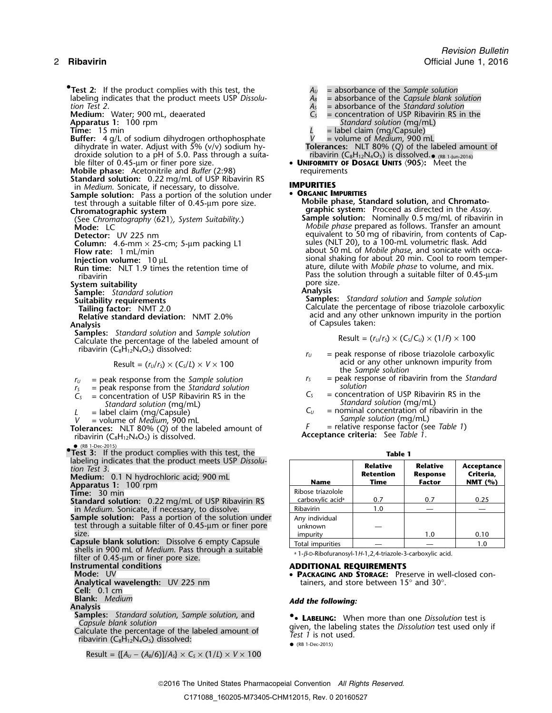**•Test 2:** If the product complies with this test, the *A<sub>U</sub>* = absorbance of the *Sample solution* labeling indicates that the product meets USP *Dissolu-*<br> *A<sub>B</sub>*<br> **Medium:** Water; 900 mL, deaerated **C**<sub>S</sub>

- **Aboution:** Water; 900 mL, deaerated<br>**Apparatus 1:** 100 rpm<br>**Time:** 15 min
- 
- **Buffer:** 4 g/L of sodium dihydrogen orthophosphate dihydrate in water. Adjust with 5% (v/v) sodium hydroxide solution to a pH of 5.0. Pass through a suita-<br>ble filter of 0.45-µm or finer pore size.
- **Mobile phase:** Acetonitrile and *Buffer* (2:98)
- **Standard solution:** 0.22 mg/mL of USP Ribavirin RS in *Medium*. Sonicate, if necessary, to dissolve. **IMPURITIES**
- **Sample solution:** Pass a portion of the solution under **CDRGANIC IMPURITIES**<br> **Mobile phase, Standard solution,** and Chromato-<br> **Chromatographic system:** Proceed as directed in the Assay<br> **Chromatographic system:** Proceed
- 
- 
- 
- 
- 
- 

**System suitability** pore size.<br>**Sample:** Standard solution **point in the Standard Science of Analysis** 

- **Sample:** *Standard solution*<br>**Suitability requirements**
- 
- **Analysis** of Capsules taken:
- **Samples:** *Standard solution* and *Sample solution* Calculate the percentage of the labeled amount of ribavirin (C<sub>8</sub>H<sub>12</sub>N<sub>4</sub>O<sub>5</sub>) dissolved:

$$
Result = (r_U/r_S) \times (C_S/L) \times V \times 100
$$

- $r_y$  = peak response from the *Sample solution*  $r_s$  = peak response from the *Standard solution*  $r_s$  = peak response from the *Standard solution*
- 
- 
- *Standard solution* (mg/mL)<br>= label claim (mg/Capsule) (*C<sub>u</sub>*

*<sup>V</sup>* = volume of *Medium Sample solution* (mg/mL) , <sup>900</sup> mL **Tolerances:** NLT 80% (Q) of the labeled amount of **Acceptance criteria:** See *Table 1*. **ribavirin (C<sub>8</sub>H<sub>12</sub>N<sub>4</sub>O<sub>5</sub>) is dissolved.** 

• (RB 1-Dec-2015) **•.Test 3:** If the product complies with this test, the **Table 1** labeling indicates that the product meets USP *Dissolu-* **Relative Relative Acceptance** *tion Test 3*.

- **Medium:** 0.1 N hydrochloric acid; 900 mL<br>**Apparatus 1:** 100 rpm
- 
- **Time:** 30 min
- **Standard solution:** 0.22 mg/mL of USP Ribavirin RS in *Medium*. Sonicate, if necessary, to dissolve.
- **Sample solution:** Pass a portion of the solution under  $\qquad$  | Any individual test through a suitable filter of 0.45-µm or finer pore  $\qquad \qquad | \quad$  unknown  $\qquad \qquad -$
- **Capsule blank solution:** Dissolve 6 empty Capsule shells in 900 mL of *Medium*. Pass through a suitable<br>filter of 0.45 uses as fines near size filter of 0.45-μm or finer pore size.<br>**Instrumental conditions**
- 

- 
- **Cell:** 0.1 cm
- 
- 
- **Samples:** *Standard solution, Sample solution, and* **• LABELING:** When more than one Dissolution test is Capsule blank solution
- 

 $Result = \{[A_U - (A_B/6)]/A_S\} \times C_S \times (1/L) \times V \times 100$ 

- - *tion Test 2*. *A<sup>S</sup>* = absorbance of the *Standard solution*
	-
	- = concentration of USP Ribavirin RS in the<br>Standard solution (mg/mL)
	-
- **Time:** 15 min *L* = label claim (mg/Capsule)
	-
- dihydrate in water. Adjust with 5% (v/v) sodium hy- **Tolerances:** NLT 80% (*Q*) of the labeled amount of (RB 1-Jun-2016)
	- ble filter of 0.45-µm or finer pore size. **UNIFORMITY OF DOSAGE UNITS** 〈**905**〉**:** Meet the

**Chromatographic system graphic system:** Proceed as directed in the *Assay*. (See *Chromatography* 〈621〉*, System Suitability*.) **Sample solution:** Nominally 0.5 mg/mL of ribavirin in Sample solution: Nominally 0.5 mg/mL of ribavirin in Sample Solution: Nominally 0.5 mg/mL of ribavirin in Node: LC<br>Mode: LC **Detector:** UV 225 nm **Detector:** UV 225 nm **Column:** 4.6-mm × 25-cm; 5-µm packing L1 sules (NLT 20), to a 100-mL volumetric flask. Add **Flow rate:** 1 mL/min **the solution of** *about 50 mL of Mobile phase***, and sonicate with occa-<br><b>Injection volume:** 10 µL **injection volume:** 10 µL **Injection volume:** 10 µL<br>**Run time:** NLT 1.9 times the retention time of **the ature, dilute with** *Mobile phase* to volume, and mix. ribavirin Pass the solution through a suitable filter of 0.45-µm<br>
yore size.

**Suitability requirements Samples:** *Standard solution* and *Sample solution* **Tailing factor:** NMT 2.0<br> **Tailing factor:** NMT 2.0 Calculate the percentage of ribose triazolole carboxylic<br>
Relative standard deviation: NMT 2.0% acid and any other unknown impurity in the portion

$$
Result = (r_U/r_S) \times (C_S/C_U) \times (1/F) \times 100
$$

- $r_U$  = peak response of ribose triazolole carboxylic acid or any other unknown impurity from
	- the *Sample solution*
- = peak response from the *Standard solution*<br>solution of USP Ribaviring RS in the Standard C<sub>S</sub> = concentration of USP Ribaviring RS in the  $C_{S}$  = concentration of USP Ribavirin RS in the  $C_{S}$  = concentration of USP Ribavirin  $S$  in the *Standard solution* (mg/mL)
- *L* = label claim (mg/Capsule)  $L$  = nominal concentration of ribavirin in the v = volume of *Medium*, 900 mL
	-

| beling indicates that the product meets USP Dissolu-<br>on Test 3.<br>Medium: 0.1 N hydrochloric acid; 900 mL<br>pparatus 1: 100 rpm. | Name                                              | <b>Relative</b><br><b>Retention</b><br>Time | <b>Relative</b><br><b>Response</b><br><b>Factor</b> | Acceptance<br>Criteria,<br>NMT $(%)$ |
|---------------------------------------------------------------------------------------------------------------------------------------|---------------------------------------------------|---------------------------------------------|-----------------------------------------------------|--------------------------------------|
| ime: 30 min<br>tandard solution: 0.22 mg/mL of USP Ribavirin RS                                                                       | Ribose triazolole<br>carboxylic acid <sup>a</sup> | 0.7                                         | 0.7                                                 | 0.25                                 |
| in Medium. Sonicate, if necessary, to dissolve.                                                                                       | Ribavirin                                         | 1.0                                         |                                                     |                                      |
| <b>ample solution:</b> Pass a portion of the solution under<br>test through a suitable filter of 0.45-µm or finer pore<br>size.       | Any individual<br>unknown<br>impurity             |                                             | 1.0                                                 | 0.10                                 |
| apsule blank solution: Dissolve 6 empty Capsule<br>shells in 000 ml of <i>Medium</i> Dass through a suitable                          | Total impurities                                  |                                             |                                                     |                                      |

### **Instrumental conditions ADDITIONAL REQUIREMENTS**

**Mode:** UV *PACKAGING AND STORAGE:* Preserve in well-closed con-**Analytical wavelength:** UV 225 nm tainers, and store between 15° and 30°.

# **Blank:** *Medium Add the following:* **Analysis**

Calculate blank solution<br>Calculate the percentage of the labeled amount of Test 1 is not used.<br>ribavirin (C<sub>8</sub>H<sub>12</sub>N<sub>4</sub>O<sub>5</sub>) dissolved:

● (RB 1-Dec-2015)